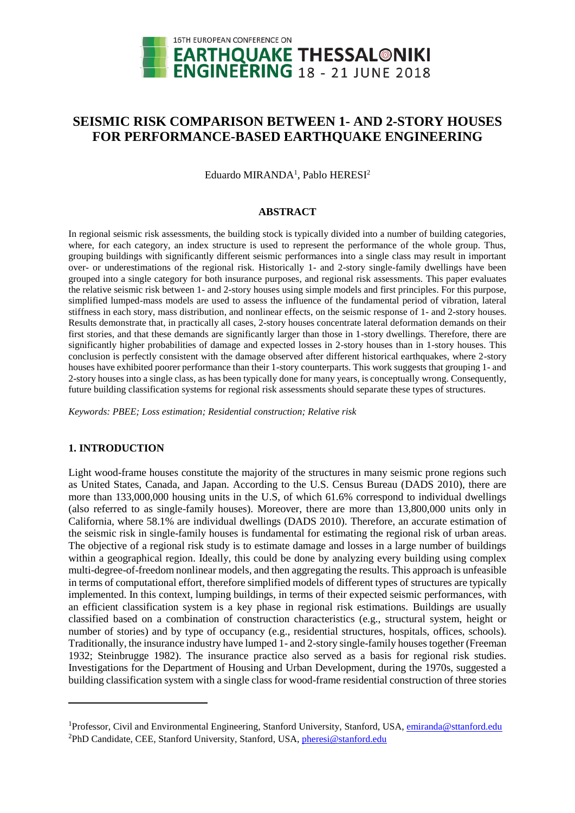

# **SEISMIC RISK COMPARISON BETWEEN 1- AND 2-STORY HOUSES FOR PERFORMANCE-BASED EARTHQUAKE ENGINEERING**

Eduardo MIRANDA<sup>1</sup>, Pablo HERESI<sup>2</sup>

### **ABSTRACT**

In regional seismic risk assessments, the building stock is typically divided into a number of building categories, where, for each category, an index structure is used to represent the performance of the whole group. Thus, grouping buildings with significantly different seismic performances into a single class may result in important over- or underestimations of the regional risk. Historically 1- and 2-story single-family dwellings have been grouped into a single category for both insurance purposes, and regional risk assessments. This paper evaluates the relative seismic risk between 1- and 2-story houses using simple models and first principles. For this purpose, simplified lumped-mass models are used to assess the influence of the fundamental period of vibration, lateral stiffness in each story, mass distribution, and nonlinear effects, on the seismic response of 1- and 2-story houses. Results demonstrate that, in practically all cases, 2-story houses concentrate lateral deformation demands on their first stories, and that these demands are significantly larger than those in 1-story dwellings. Therefore, there are significantly higher probabilities of damage and expected losses in 2-story houses than in 1-story houses. This conclusion is perfectly consistent with the damage observed after different historical earthquakes, where 2-story houses have exhibited poorer performance than their 1-story counterparts. This work suggests that grouping 1- and 2-story houses into a single class, as has been typically done for many years, is conceptually wrong. Consequently, future building classification systems for regional risk assessments should separate these types of structures.

*Keywords: PBEE; Loss estimation; Residential construction; Relative risk*

# **1. INTRODUCTION**

l

Light wood-frame houses constitute the majority of the structures in many seismic prone regions such as United States, Canada, and Japan. According to the U.S. Census Bureau (DADS 2010), there are more than 133,000,000 housing units in the U.S, of which 61.6% correspond to individual dwellings (also referred to as single-family houses). Moreover, there are more than 13,800,000 units only in California, where 58.1% are individual dwellings (DADS 2010). Therefore, an accurate estimation of the seismic risk in single-family houses is fundamental for estimating the regional risk of urban areas. The objective of a regional risk study is to estimate damage and losses in a large number of buildings within a geographical region. Ideally, this could be done by analyzing every building using complex multi-degree-of-freedom nonlinear models, and then aggregating the results. This approach is unfeasible in terms of computational effort, therefore simplified models of different types of structures are typically implemented. In this context, lumping buildings, in terms of their expected seismic performances, with an efficient classification system is a key phase in regional risk estimations. Buildings are usually classified based on a combination of construction characteristics (e.g., structural system, height or number of stories) and by type of occupancy (e.g., residential structures, hospitals, offices, schools). Traditionally, the insurance industry have lumped 1- and 2-story single-family houses together (Freeman 1932; Steinbrugge 1982). The insurance practice also served as a basis for regional risk studies. Investigations for the Department of Housing and Urban Development, during the 1970s, suggested a building classification system with a single class for wood-frame residential construction of three stories

<sup>&</sup>lt;sup>1</sup>Professor, Civil and Environmental Engineering, Stanford University, Stanford, USA, [emiranda@sttanford.edu](mailto:emiranda@sttanford.edu) <sup>2</sup>PhD Candidate, CEE, Stanford University, Stanford, USA[, pheresi@stanford.edu](mailto:pheresi@stanford.edu)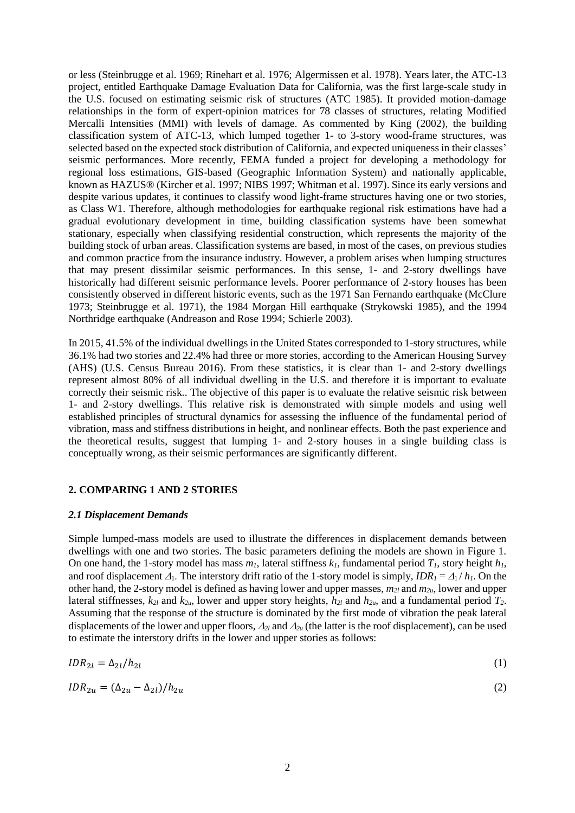or less (Steinbrugge et al. 1969; Rinehart et al. 1976; Algermissen et al. 1978). Years later, the ATC-13 project, entitled Earthquake Damage Evaluation Data for California, was the first large-scale study in the U.S. focused on estimating seismic risk of structures (ATC 1985). It provided motion-damage relationships in the form of expert-opinion matrices for 78 classes of structures, relating Modified Mercalli Intensities (MMI) with levels of damage. As commented by King (2002), the building classification system of ATC-13, which lumped together 1- to 3-story wood-frame structures, was selected based on the expected stock distribution of California, and expected uniqueness in their classes' seismic performances. More recently, FEMA funded a project for developing a methodology for regional loss estimations, GIS-based (Geographic Information System) and nationally applicable, known as HAZUS® (Kircher et al. 1997; NIBS 1997; Whitman et al. 1997). Since its early versions and despite various updates, it continues to classify wood light-frame structures having one or two stories, as Class W1. Therefore, although methodologies for earthquake regional risk estimations have had a gradual evolutionary development in time, building classification systems have been somewhat stationary, especially when classifying residential construction, which represents the majority of the building stock of urban areas. Classification systems are based, in most of the cases, on previous studies and common practice from the insurance industry. However, a problem arises when lumping structures that may present dissimilar seismic performances. In this sense, 1- and 2-story dwellings have historically had different seismic performance levels. Poorer performance of 2-story houses has been consistently observed in different historic events, such as the 1971 San Fernando earthquake (McClure 1973; Steinbrugge et al. 1971), the 1984 Morgan Hill earthquake (Strykowski 1985), and the 1994 Northridge earthquake (Andreason and Rose 1994; Schierle 2003).

In 2015, 41.5% of the individual dwellings in the United States corresponded to 1-story structures, while 36.1% had two stories and 22.4% had three or more stories, according to the American Housing Survey (AHS) (U.S. Census Bureau 2016). From these statistics, it is clear than 1- and 2-story dwellings represent almost 80% of all individual dwelling in the U.S. and therefore it is important to evaluate correctly their seismic risk.. The objective of this paper is to evaluate the relative seismic risk between 1- and 2-story dwellings. This relative risk is demonstrated with simple models and using well established principles of structural dynamics for assessing the influence of the fundamental period of vibration, mass and stiffness distributions in height, and nonlinear effects. Both the past experience and the theoretical results, suggest that lumping 1- and 2-story houses in a single building class is conceptually wrong, as their seismic performances are significantly different.

# **2. COMPARING 1 AND 2 STORIES**

### *2.1 Displacement Demands*

Simple lumped-mass models are used to illustrate the differences in displacement demands between dwellings with one and two stories. The basic parameters defining the models are shown in Figure 1. On one hand, the 1-story model has mass  $m_l$ , lateral stiffness  $k_l$ , fundamental period  $T_l$ , story height  $h_l$ , and roof displacement  $\Delta_1$ . The interstory drift ratio of the 1-story model is simply,  $IDR_1 = \Delta_1/h_1$ . On the other hand, the 2-story model is defined as having lower and upper masses, *m2l* and *m2u*, lower and upper lateral stiffnesses,  $k_{2l}$  and  $k_{2u}$ , lower and upper story heights,  $h_{2l}$  and  $h_{2u}$ , and a fundamental period  $T_2$ . Assuming that the response of the structure is dominated by the first mode of vibration the peak lateral displacements of the lower and upper floors,  $\Delta_{2l}$  and  $\Delta_{2u}$  (the latter is the roof displacement), can be used to estimate the interstory drifts in the lower and upper stories as follows:

$$
IDR_{2l} = \Delta_{2l}/h_{2l} \tag{1}
$$

$$
IDR_{2u} = (\Delta_{2u} - \Delta_{2l})/h_{2u}
$$
\n<sup>(2)</sup>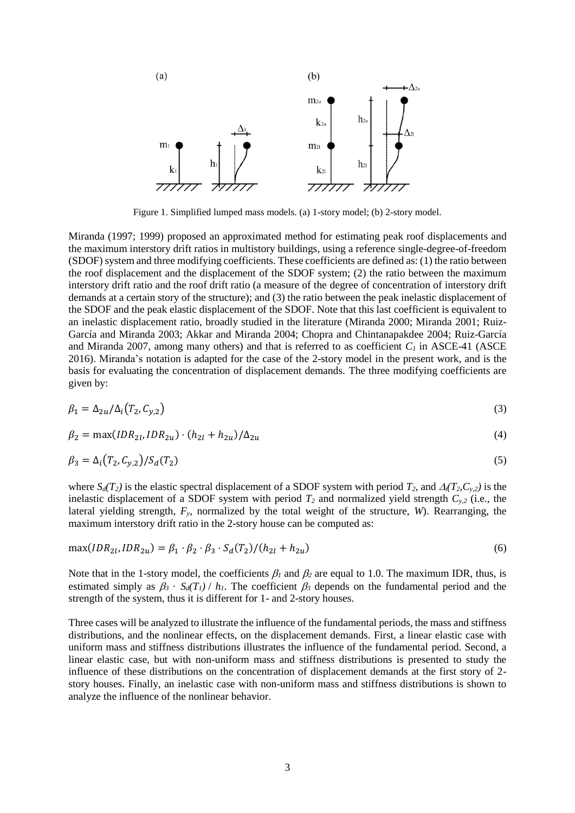

Figure 1. Simplified lumped mass models. (a) 1-story model; (b) 2-story model.

Miranda (1997; 1999) proposed an approximated method for estimating peak roof displacements and the maximum interstory drift ratios in multistory buildings, using a reference single-degree-of-freedom (SDOF) system and three modifying coefficients. These coefficients are defined as: (1) the ratio between the roof displacement and the displacement of the SDOF system; (2) the ratio between the maximum interstory drift ratio and the roof drift ratio (a measure of the degree of concentration of interstory drift demands at a certain story of the structure); and (3) the ratio between the peak inelastic displacement of the SDOF and the peak elastic displacement of the SDOF. Note that this last coefficient is equivalent to an inelastic displacement ratio, broadly studied in the literature (Miranda 2000; Miranda 2001; Ruiz-García and Miranda 2003; Akkar and Miranda 2004; Chopra and Chintanapakdee 2004; Ruiz-García and Miranda 2007, among many others) and that is referred to as coefficient *C<sup>1</sup>* in ASCE-41 (ASCE 2016). Miranda's notation is adapted for the case of the 2-story model in the present work, and is the basis for evaluating the concentration of displacement demands. The three modifying coefficients are given by:

$$
\beta_1 = \Delta_{2u}/\Delta_i \left( T_2, C_{y,2} \right) \tag{3}
$$

$$
\beta_2 = \max(IDR_{2l}, IDR_{2u}) \cdot (h_{2l} + h_{2u})/\Delta_{2u}
$$
\n(4)

$$
\beta_3 = \Delta_i \left( T_2, C_{y,2} \right) / S_d \left( T_2 \right) \tag{5}
$$

where  $S_d(T_2)$  is the elastic spectral displacement of a SDOF system with period  $T_2$ , and  $\Delta_i(T_2, C_{y,2})$  is the inelastic displacement of a SDOF system with period *T<sup>2</sup>* and normalized yield strength *Cy,2* (i.e., the lateral yielding strength, *Fy*, normalized by the total weight of the structure, *W*). Rearranging, the maximum interstory drift ratio in the 2-story house can be computed as:

$$
\max(IDR_{2l}, IDR_{2u}) = \beta_1 \cdot \beta_2 \cdot \beta_3 \cdot S_d(T_2)/(h_{2l} + h_{2u})
$$
\n(6)

Note that in the 1-story model, the coefficients  $\beta_l$  and  $\beta_2$  are equal to 1.0. The maximum IDR, thus, is estimated simply as  $\beta_3 \cdot S_d(T_1) / h_1$ . The coefficient  $\beta_3$  depends on the fundamental period and the strength of the system, thus it is different for 1- and 2-story houses.

Three cases will be analyzed to illustrate the influence of the fundamental periods, the mass and stiffness distributions, and the nonlinear effects, on the displacement demands. First, a linear elastic case with uniform mass and stiffness distributions illustrates the influence of the fundamental period. Second, a linear elastic case, but with non-uniform mass and stiffness distributions is presented to study the influence of these distributions on the concentration of displacement demands at the first story of 2 story houses. Finally, an inelastic case with non-uniform mass and stiffness distributions is shown to analyze the influence of the nonlinear behavior.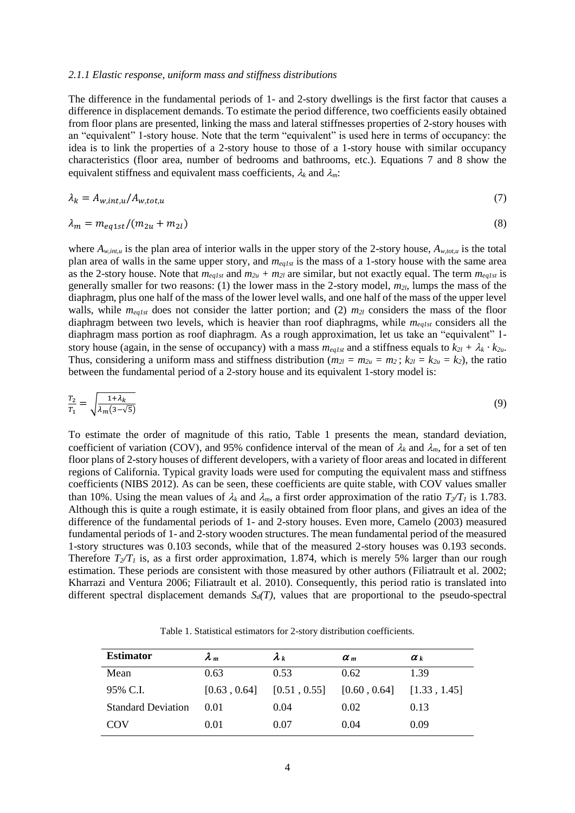### *2.1.1 Elastic response, uniform mass and stiffness distributions*

The difference in the fundamental periods of 1- and 2-story dwellings is the first factor that causes a difference in displacement demands. To estimate the period difference, two coefficients easily obtained from floor plans are presented, linking the mass and lateral stiffnesses properties of 2-story houses with an "equivalent" 1-story house. Note that the term "equivalent" is used here in terms of occupancy: the idea is to link the properties of a 2-story house to those of a 1-story house with similar occupancy characteristics (floor area, number of bedrooms and bathrooms, etc.). Equations 7 and 8 show the equivalent stiffness and equivalent mass coefficients,  $\lambda_k$  and  $\lambda_m$ .

$$
\lambda_k = A_{w, int, u} / A_{w, tot, u} \tag{7}
$$

$$
\lambda_m = m_{eq1st} / (m_{2u} + m_{2l}) \tag{8}
$$

where  $A_{w,int,u}$  is the plan area of interior walls in the upper story of the 2-story house,  $A_{w,tot,u}$  is the total plan area of walls in the same upper story, and *meq1st* is the mass of a 1-story house with the same area as the 2-story house. Note that  $m_{eq1st}$  and  $m_{2u}$  +  $m_{2l}$  are similar, but not exactly equal. The term  $m_{eals}$  is generally smaller for two reasons: (1) the lower mass in the 2-story model, *m2l*, lumps the mass of the diaphragm, plus one half of the mass of the lower level walls, and one half of the mass of the upper level walls, while *meq1st* does not consider the latter portion; and (2) *m2l* considers the mass of the floor diaphragm between two levels, which is heavier than roof diaphragms, while *meq1st* considers all the diaphragm mass portion as roof diaphragm. As a rough approximation, let us take an "equivalent" 1 story house (again, in the sense of occupancy) with a mass  $m_{eq1st}$  and a stiffness equals to  $k_{2l} + \lambda_k \cdot k_{2u}$ . Thus, considering a uniform mass and stiffness distribution ( $m_{2l} = m_{2u} = m_2$ ;  $k_{2l} = k_{2u} = k_2$ ), the ratio between the fundamental period of a 2-story house and its equivalent 1-story model is:

$$
\frac{T_2}{T_1} = \sqrt{\frac{1 + \lambda_k}{\lambda_m (3 - \sqrt{5})}}\tag{9}
$$

To estimate the order of magnitude of this ratio, Table 1 presents the mean, standard deviation, coefficient of variation (COV), and 95% confidence interval of the mean of  $\lambda_k$  and  $\lambda_m$ , for a set of ten floor plans of 2-story houses of different developers, with a variety of floor areas and located in different regions of California. Typical gravity loads were used for computing the equivalent mass and stiffness coefficients (NIBS 2012). As can be seen, these coefficients are quite stable, with COV values smaller than 10%. Using the mean values of  $\lambda_k$  and  $\lambda_m$ , a first order approximation of the ratio  $T_2/T_1$  is 1.783. Although this is quite a rough estimate, it is easily obtained from floor plans, and gives an idea of the difference of the fundamental periods of 1- and 2-story houses. Even more, Camelo (2003) measured fundamental periods of 1- and 2-story wooden structures. The mean fundamental period of the measured 1-story structures was 0.103 seconds, while that of the measured 2-story houses was 0.193 seconds. Therefore  $T_2/T_1$  is, as a first order approximation, 1.874, which is merely 5% larger than our rough estimation. These periods are consistent with those measured by other authors (Filiatrault et al. 2002; Kharrazi and Ventura 2006; Filiatrault et al. 2010). Consequently, this period ratio is translated into different spectral displacement demands  $S_d(T)$ , values that are proportional to the pseudo-spectral

Table 1. Statistical estimators for 2-story distribution coefficients.

| <b>Estimator</b>          | $\lambda_m$  | $\lambda_k$  | $\alpha$ <sub>m</sub> | $\alpha_k$   |
|---------------------------|--------------|--------------|-----------------------|--------------|
| Mean                      | 0.63         | 0.53         | 0.62                  | 1.39         |
| 95% C.I.                  | [0.63, 0.64] | [0.51, 0.55] | [0.60, 0.64]          | [1.33, 1.45] |
| <b>Standard Deviation</b> | 0.01         | 0.04         | 0.02                  | 0.13         |
| COV                       | 0.01         | 0.07         | 0.04                  | 0.09         |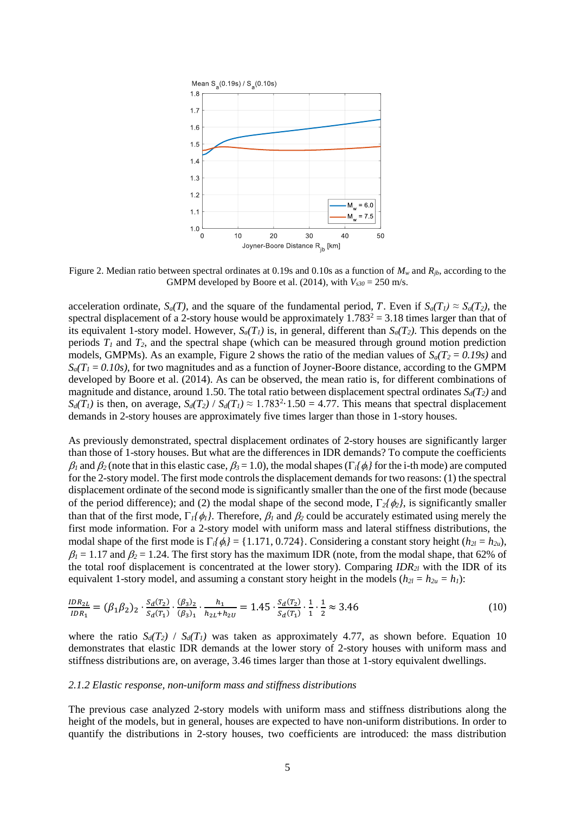

Figure 2. Median ratio between spectral ordinates at 0.19s and 0.10s as a function of  $M_w$  and  $R_{ib}$ , according to the GMPM developed by Boore et al. (2014), with  $V_{s30} = 250$  m/s.

acceleration ordinate,  $S_a(T)$ , and the square of the fundamental period, T. Even if  $S_a(T_1) \approx S_a(T_2)$ , the spectral displacement of a 2-story house would be approximately  $1.783^2 = 3.18$  times larger than that of its equivalent 1-story model. However,  $S_a(T_1)$  is, in general, different than  $S_a(T_2)$ . This depends on the periods *T<sup>1</sup>* and *T2*, and the spectral shape (which can be measured through ground motion prediction models, GMPMs). As an example, Figure 2 shows the ratio of the median values of  $S_a(T_2 = 0.19s)$  and  $S_a(T_1 = 0.10s)$ , for two magnitudes and as a function of Joyner-Boore distance, according to the GMPM developed by Boore et al. (2014). As can be observed, the mean ratio is, for different combinations of magnitude and distance, around 1.50. The total ratio between displacement spectral ordinates *Sd(T2)* and  $S_d(T_1)$  is then, on average,  $S_d(T_2)$  /  $S_d(T_1) \approx 1.7832 \cdot 1.50 = 4.77$ . This means that spectral displacement demands in 2-story houses are approximately five times larger than those in 1-story houses.

As previously demonstrated, spectral displacement ordinates of 2-story houses are significantly larger than those of 1-story houses. But what are the differences in IDR demands? To compute the coefficients  $\beta_1$  and  $\beta_2$  (note that in this elastic case,  $\beta_3 = 1.0$ ), the modal shapes ( $\Gamma_i/\phi_i$ } for the i-th mode) are computed for the 2-story model. The first mode controls the displacement demands for two reasons: (1) the spectral displacement ordinate of the second mode is significantly smaller than the one of the first mode (because of the period difference); and (2) the modal shape of the second mode,  $\Gamma_2/\phi_2$ , is significantly smaller than that of the first mode,  $\Gamma_1/\phi_1$ . Therefore,  $\beta_1$  and  $\beta_2$  could be accurately estimated using merely the first mode information. For a 2-story model with uniform mass and lateral stiffness distributions, the modal shape of the first mode is  $\Gamma_i/\phi_i$  = {1.171, 0.724}. Considering a constant story height ( $h_{2l} = h_{2u}$ ),  $\beta_1 = 1.17$  and  $\beta_2 = 1.24$ . The first story has the maximum IDR (note, from the modal shape, that 62% of the total roof displacement is concentrated at the lower story). Comparing *IDR2l* with the IDR of its equivalent 1-story model, and assuming a constant story height in the models ( $h_{2l} = h_{2u} = h_l$ ):

$$
\frac{IDR_{2L}}{IDR_1} = (\beta_1 \beta_2)_2 \cdot \frac{S_d(T_2)}{S_d(T_1)} \cdot \frac{(\beta_3)_2}{(\beta_3)_1} \cdot \frac{h_1}{h_{2L} + h_{2U}} = 1.45 \cdot \frac{S_d(T_2)}{S_d(T_1)} \cdot \frac{1}{1} \cdot \frac{1}{2} \approx 3.46
$$
\n(10)

where the ratio  $S_d(T_2)$  /  $S_d(T_1)$  was taken as approximately 4.77, as shown before. Equation 10 demonstrates that elastic IDR demands at the lower story of 2-story houses with uniform mass and stiffness distributions are, on average, 3.46 times larger than those at 1-story equivalent dwellings.

#### *2.1.2 Elastic response, non-uniform mass and stiffness distributions*

The previous case analyzed 2-story models with uniform mass and stiffness distributions along the height of the models, but in general, houses are expected to have non-uniform distributions. In order to quantify the distributions in 2-story houses, two coefficients are introduced: the mass distribution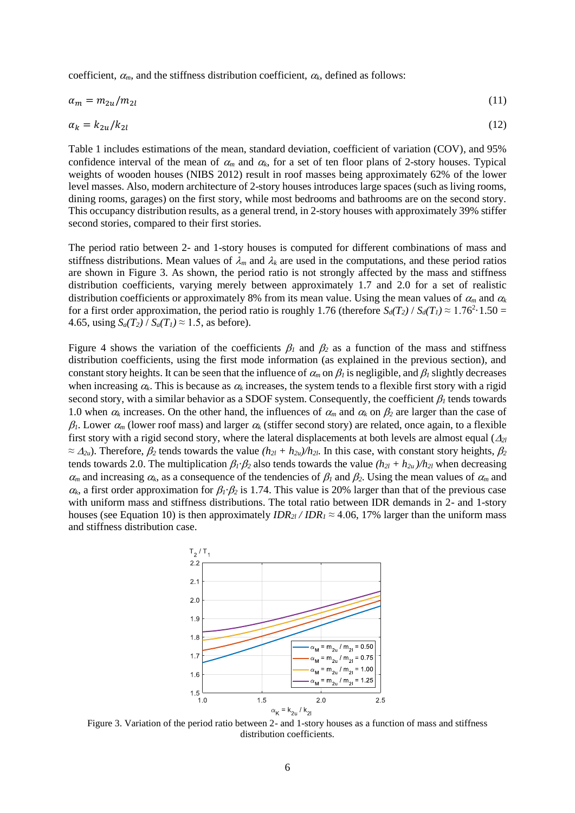coefficient,  $\alpha_m$ , and the stiffness distribution coefficient,  $\alpha_k$ , defined as follows:

$$
\alpha_m = m_{2u}/m_{2l} \tag{11}
$$

$$
\alpha_k = k_{2u}/k_{2l} \tag{12}
$$

Table 1 includes estimations of the mean, standard deviation, coefficient of variation (COV), and 95% confidence interval of the mean of  $\alpha_m$  and  $\alpha_k$ , for a set of ten floor plans of 2-story houses. Typical weights of wooden houses (NIBS 2012) result in roof masses being approximately 62% of the lower level masses. Also, modern architecture of 2-story houses introduces large spaces (such as living rooms, dining rooms, garages) on the first story, while most bedrooms and bathrooms are on the second story. This occupancy distribution results, as a general trend, in 2-story houses with approximately 39% stiffer second stories, compared to their first stories.

The period ratio between 2- and 1-story houses is computed for different combinations of mass and stiffness distributions. Mean values of  $\lambda_m$  and  $\lambda_k$  are used in the computations, and these period ratios are shown in Figure 3. As shown, the period ratio is not strongly affected by the mass and stiffness distribution coefficients, varying merely between approximately 1.7 and 2.0 for a set of realistic distribution coefficients or approximately 8% from its mean value. Using the mean values of  $\alpha_m$  and  $\alpha_k$ for a first order approximation, the period ratio is roughly 1.76 (therefore  $S_d(T_2) / S_d(T_1) \approx 1.76^2 \cdot 1.50 =$ 4.65, using  $S_a(T_2) / S_a(T_1) \approx 1.5$ , as before).

Figure 4 shows the variation of the coefficients  $\beta_1$  and  $\beta_2$  as a function of the mass and stiffness distribution coefficients, using the first mode information (as explained in the previous section), and constant story heights. It can be seen that the influence of  $\alpha_m$  on  $\beta_l$  is negligible, and  $\beta_l$  slightly decreases when increasing  $\alpha_k$ . This is because as  $\alpha_k$  increases, the system tends to a flexible first story with a rigid second story, with a similar behavior as a SDOF system. Consequently, the coefficient  $\beta_l$  tends towards 1.0 when  $\alpha_k$  increases. On the other hand, the influences of  $\alpha_m$  and  $\alpha_k$  on  $\beta_2$  are larger than the case of  $\beta_l$ . Lower  $\alpha_m$  (lower roof mass) and larger  $\alpha_k$  (stiffer second story) are related, once again, to a flexible first story with a rigid second story, where the lateral displacements at both levels are almost equal  $(A_{2l})$  $\approx \Delta_{2u}$ ). Therefore,  $\beta_2$  tends towards the value  $(h_{2l} + h_{2u})/h_{2l}$ . In this case, with constant story heights,  $\beta_2$ tends towards 2.0. The multiplication  $\beta_1 \cdot \beta_2$  also tends towards the value  $(h_{2l} + h_{2u})/h_{2l}$  when decreasing  $\alpha_m$  and increasing  $\alpha_k$ , as a consequence of the tendencies of  $\beta_l$  and  $\beta_2$ . Using the mean values of  $\alpha_m$  and  $\alpha_k$ , a first order approximation for  $\beta_l \cdot \beta_2$  is 1.74. This value is 20% larger than that of the previous case with uniform mass and stiffness distributions. The total ratio between IDR demands in 2- and 1-story houses (see Equation 10) is then approximately  $IDR_{2l}/IDR_1 \approx 4.06$ , 17% larger than the uniform mass and stiffness distribution case.



Figure 3. Variation of the period ratio between 2- and 1-story houses as a function of mass and stiffness distribution coefficients.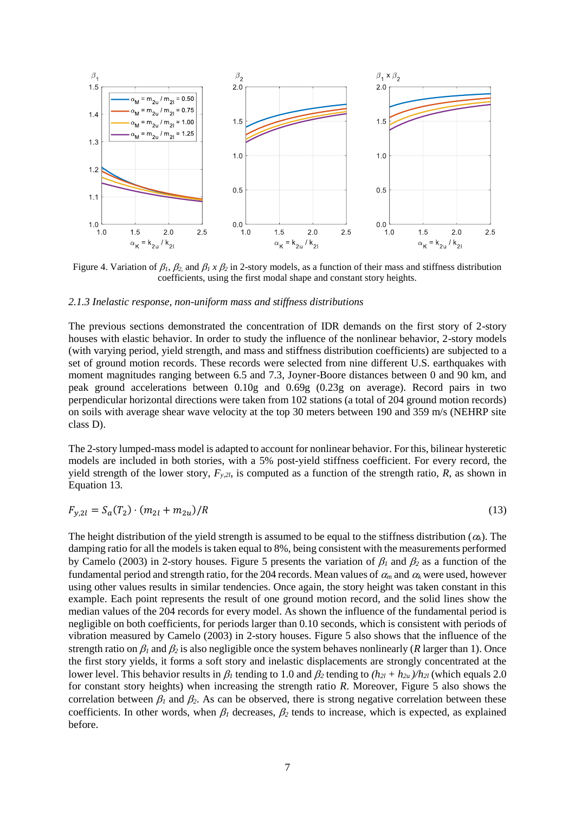

Figure 4. Variation of  $\beta_1$ ,  $\beta_2$  and  $\beta_1$  x  $\beta_2$  in 2-story models, as a function of their mass and stiffness distribution coefficients, using the first modal shape and constant story heights.

### *2.1.3 Inelastic response, non-uniform mass and stiffness distributions*

The previous sections demonstrated the concentration of IDR demands on the first story of 2-story houses with elastic behavior. In order to study the influence of the nonlinear behavior, 2-story models (with varying period, yield strength, and mass and stiffness distribution coefficients) are subjected to a set of ground motion records. These records were selected from nine different U.S. earthquakes with moment magnitudes ranging between 6.5 and 7.3, Joyner-Boore distances between 0 and 90 km, and peak ground accelerations between 0.10g and 0.69g (0.23g on average). Record pairs in two perpendicular horizontal directions were taken from 102 stations (a total of 204 ground motion records) on soils with average shear wave velocity at the top 30 meters between 190 and 359 m/s (NEHRP site class D).

The 2-story lumped-mass model is adapted to account for nonlinear behavior. For this, bilinear hysteretic models are included in both stories, with a 5% post-yield stiffness coefficient. For every record, the yield strength of the lower story,  $F_{y,2l}$ , is computed as a function of the strength ratio, *R*, as shown in Equation 13.

$$
F_{y,2l} = S_a(T_2) \cdot (m_{2l} + m_{2u})/R \tag{13}
$$

The height distribution of the yield strength is assumed to be equal to the stiffness distribution  $(\alpha_k)$ . The damping ratio for all the models is taken equal to 8%, being consistent with the measurements performed by Camelo (2003) in 2-story houses. Figure 5 presents the variation of  $\beta_1$  and  $\beta_2$  as a function of the fundamental period and strength ratio, for the 204 records. Mean values of  $\alpha_m$  and  $\alpha_k$  were used, however using other values results in similar tendencies. Once again, the story height was taken constant in this example. Each point represents the result of one ground motion record, and the solid lines show the median values of the 204 records for every model. As shown the influence of the fundamental period is negligible on both coefficients, for periods larger than 0.10 seconds, which is consistent with periods of vibration measured by Camelo (2003) in 2-story houses. Figure 5 also shows that the influence of the strength ratio on  $\beta_1$  and  $\beta_2$  is also negligible once the system behaves nonlinearly (*R* larger than 1). Once the first story yields, it forms a soft story and inelastic displacements are strongly concentrated at the lower level. This behavior results in  $\beta_l$  tending to 1.0 and  $\beta_2$  tending to  $(h_{2l} + h_{2u})/h_{2l}$  (which equals 2.0) for constant story heights) when increasing the strength ratio *R*. Moreover, Figure 5 also shows the correlation between  $\beta_1$  and  $\beta_2$ . As can be observed, there is strong negative correlation between these coefficients. In other words, when  $\beta_1$  decreases,  $\beta_2$  tends to increase, which is expected, as explained before.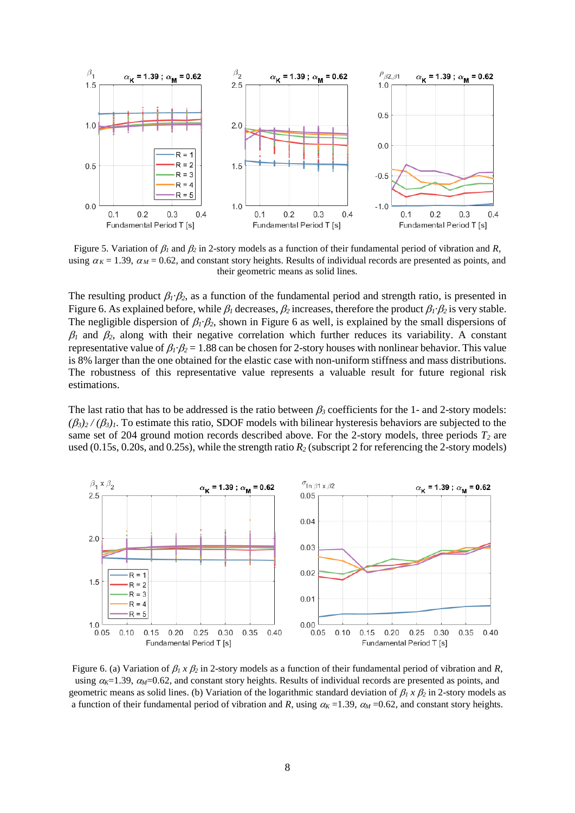

Figure 5. Variation of  $\beta_1$  and  $\beta_2$  in 2-story models as a function of their fundamental period of vibration and *R*, using  $\alpha_K = 1.39$ ,  $\alpha_M = 0.62$ , and constant story heights. Results of individual records are presented as points, and their geometric means as solid lines.

The resulting product  $\beta_1 \cdot \beta_2$ , as a function of the fundamental period and strength ratio, is presented in Figure 6. As explained before, while  $\beta_l$  decreases,  $\beta_2$  increases, therefore the product  $\beta_l \cdot \beta_2$  is very stable. The negligible dispersion of  $\beta_1 \cdot \beta_2$ , shown in Figure 6 as well, is explained by the small dispersions of  $\beta_1$  and  $\beta_2$ , along with their negative correlation which further reduces its variability. A constant representative value of  $\beta_l \cdot \beta_2 = 1.88$  can be chosen for 2-story houses with nonlinear behavior. This value is 8% larger than the one obtained for the elastic case with non-uniform stiffness and mass distributions. The robustness of this representative value represents a valuable result for future regional risk estimations.

The last ratio that has to be addressed is the ratio between  $\beta_3$  coefficients for the 1- and 2-story models:  $(\beta_3)_2/(\beta_3)_1$ . To estimate this ratio, SDOF models with bilinear hysteresis behaviors are subjected to the same set of 204 ground motion records described above. For the 2-story models, three periods *T<sup>2</sup>* are used (0.15s, 0.20s, and 0.25s), while the strength ratio *R<sup>2</sup>* (subscript 2 for referencing the 2-story models)



Figure 6. (a) Variation of  $\beta_1 x \beta_2$  in 2-story models as a function of their fundamental period of vibration and *R*, using  $\alpha_K$ =1.39,  $\alpha_M$ =0.62, and constant story heights. Results of individual records are presented as points, and geometric means as solid lines. (b) Variation of the logarithmic standard deviation of  $\beta_1 x \beta_2$  in 2-story models as a function of their fundamental period of vibration and *R*, using  $\alpha_K = 1.39$ ,  $\alpha_M = 0.62$ , and constant story heights.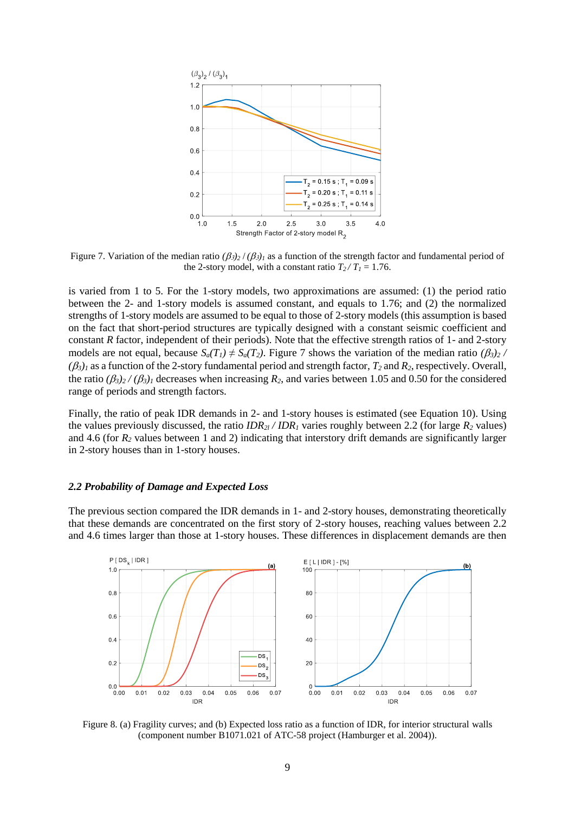

Figure 7. Variation of the median ratio  $(\beta_{3})_2 / (\beta_{3})_1$  as a function of the strength factor and fundamental period of the 2-story model, with a constant ratio  $T_2/T_1 = 1.76$ .

is varied from 1 to 5. For the 1-story models, two approximations are assumed: (1) the period ratio between the 2- and 1-story models is assumed constant, and equals to 1.76; and (2) the normalized strengths of 1-story models are assumed to be equal to those of 2-story models (this assumption is based on the fact that short-period structures are typically designed with a constant seismic coefficient and constant *R* factor, independent of their periods). Note that the effective strength ratios of 1- and 2-story models are not equal, because  $S_a(T_1) \neq S_a(T_2)$ . Figure 7 shows the variation of the median ratio  $(\beta_3)_2$  /  $(\beta_3)_l$  as a function of the 2-story fundamental period and strength factor,  $T_2$  and  $R_2$ , respectively. Overall, the ratio  $(\beta_3)$ <sup>2</sup> /  $(\beta_3)$ <sub>*i*</sub> decreases when increasing *R*<sub>2</sub>, and varies between 1.05 and 0.50 for the considered range of periods and strength factors.

Finally, the ratio of peak IDR demands in 2- and 1-story houses is estimated (see Equation 10). Using the values previously discussed, the ratio  $IDR<sub>2l</sub> / IDR<sub>l</sub>$  varies roughly between 2.2 (for large  $R<sub>2</sub>$  values) and 4.6 (for *R<sup>2</sup>* values between 1 and 2) indicating that interstory drift demands are significantly larger in 2-story houses than in 1-story houses.

#### *2.2 Probability of Damage and Expected Loss*

The previous section compared the IDR demands in 1- and 2-story houses, demonstrating theoretically that these demands are concentrated on the first story of 2-story houses, reaching values between 2.2 and 4.6 times larger than those at 1-story houses. These differences in displacement demands are then



Figure 8. (a) Fragility curves; and (b) Expected loss ratio as a function of IDR, for interior structural walls (component number B1071.021 of ATC-58 project (Hamburger et al. 2004)).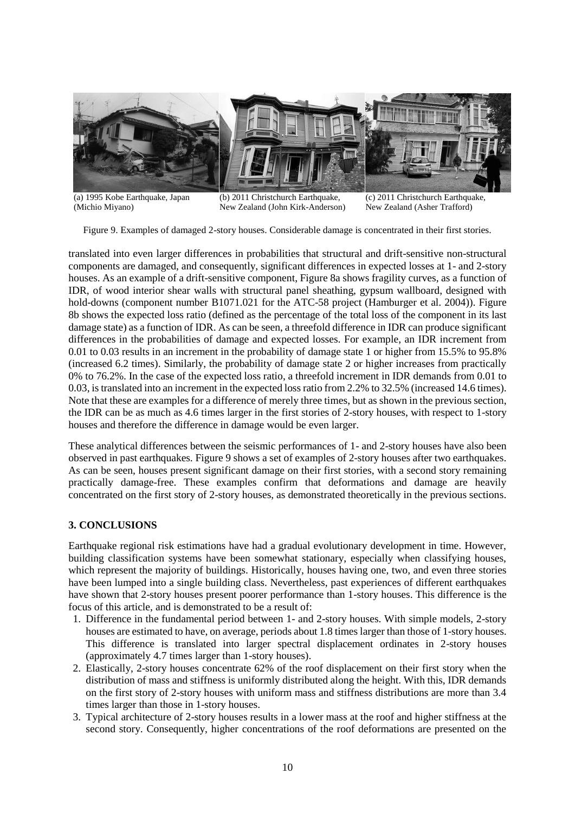

(a) 1995 Kobe Earthquake, Japan (Michio Miyano)

(b) 2011 Christchurch Earthquake, New Zealand (John Kirk-Anderson)

(c) 2011 Christchurch Earthquake, New Zealand (Asher Trafford)

Figure 9. Examples of damaged 2-story houses. Considerable damage is concentrated in their first stories.

translated into even larger differences in probabilities that structural and drift-sensitive non-structural components are damaged, and consequently, significant differences in expected losses at 1- and 2-story houses. As an example of a drift-sensitive component, Figure 8a shows fragility curves, as a function of IDR, of wood interior shear walls with structural panel sheathing, gypsum wallboard, designed with hold-downs (component number B1071.021 for the ATC-58 project (Hamburger et al. 2004)). Figure 8b shows the expected loss ratio (defined as the percentage of the total loss of the component in its last damage state) as a function of IDR. As can be seen, a threefold difference in IDR can produce significant differences in the probabilities of damage and expected losses. For example, an IDR increment from 0.01 to 0.03 results in an increment in the probability of damage state 1 or higher from 15.5% to 95.8% (increased 6.2 times). Similarly, the probability of damage state 2 or higher increases from practically 0% to 76.2%. In the case of the expected loss ratio, a threefold increment in IDR demands from 0.01 to 0.03, is translated into an increment in the expected loss ratio from 2.2% to 32.5% (increased 14.6 times). Note that these are examples for a difference of merely three times, but as shown in the previous section, the IDR can be as much as 4.6 times larger in the first stories of 2-story houses, with respect to 1-story houses and therefore the difference in damage would be even larger.

These analytical differences between the seismic performances of 1- and 2-story houses have also been observed in past earthquakes. Figure 9 shows a set of examples of 2-story houses after two earthquakes. As can be seen, houses present significant damage on their first stories, with a second story remaining practically damage-free. These examples confirm that deformations and damage are heavily concentrated on the first story of 2-story houses, as demonstrated theoretically in the previous sections.

# **3. CONCLUSIONS**

Earthquake regional risk estimations have had a gradual evolutionary development in time. However, building classification systems have been somewhat stationary, especially when classifying houses, which represent the majority of buildings. Historically, houses having one, two, and even three stories have been lumped into a single building class. Nevertheless, past experiences of different earthquakes have shown that 2-story houses present poorer performance than 1-story houses. This difference is the focus of this article, and is demonstrated to be a result of:

- 1. Difference in the fundamental period between 1- and 2-story houses. With simple models, 2-story houses are estimated to have, on average, periods about 1.8 times larger than those of 1-story houses. This difference is translated into larger spectral displacement ordinates in 2-story houses (approximately 4.7 times larger than 1-story houses).
- 2. Elastically, 2-story houses concentrate 62% of the roof displacement on their first story when the distribution of mass and stiffness is uniformly distributed along the height. With this, IDR demands on the first story of 2-story houses with uniform mass and stiffness distributions are more than 3.4 times larger than those in 1-story houses.
- 3. Typical architecture of 2-story houses results in a lower mass at the roof and higher stiffness at the second story. Consequently, higher concentrations of the roof deformations are presented on the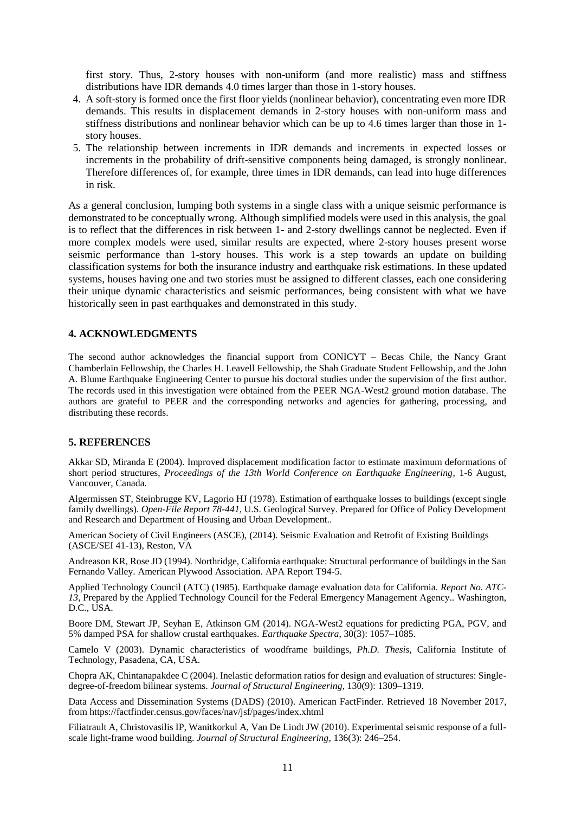first story. Thus, 2-story houses with non-uniform (and more realistic) mass and stiffness distributions have IDR demands 4.0 times larger than those in 1-story houses.

- 4. A soft-story is formed once the first floor yields (nonlinear behavior), concentrating even more IDR demands. This results in displacement demands in 2-story houses with non-uniform mass and stiffness distributions and nonlinear behavior which can be up to 4.6 times larger than those in 1 story houses.
- 5. The relationship between increments in IDR demands and increments in expected losses or increments in the probability of drift-sensitive components being damaged, is strongly nonlinear. Therefore differences of, for example, three times in IDR demands, can lead into huge differences in risk.

As a general conclusion, lumping both systems in a single class with a unique seismic performance is demonstrated to be conceptually wrong. Although simplified models were used in this analysis, the goal is to reflect that the differences in risk between 1- and 2-story dwellings cannot be neglected. Even if more complex models were used, similar results are expected, where 2-story houses present worse seismic performance than 1-story houses. This work is a step towards an update on building classification systems for both the insurance industry and earthquake risk estimations. In these updated systems, houses having one and two stories must be assigned to different classes, each one considering their unique dynamic characteristics and seismic performances, being consistent with what we have historically seen in past earthquakes and demonstrated in this study.

# **4. ACKNOWLEDGMENTS**

The second author acknowledges the financial support from CONICYT – Becas Chile, the Nancy Grant Chamberlain Fellowship, the Charles H. Leavell Fellowship, the Shah Graduate Student Fellowship, and the John A. Blume Earthquake Engineering Center to pursue his doctoral studies under the supervision of the first author. The records used in this investigation were obtained from the PEER NGA-West2 ground motion database. The authors are grateful to PEER and the corresponding networks and agencies for gathering, processing, and distributing these records.

# **5. REFERENCES**

Akkar SD, Miranda E (2004). Improved displacement modification factor to estimate maximum deformations of short period structures, *Proceedings of the 13th World Conference on Earthquake Engineering*, 1-6 August, Vancouver, Canada.

Algermissen ST, Steinbrugge KV, Lagorio HJ (1978). Estimation of earthquake losses to buildings (except single family dwellings). *Open-File Report 78-441,* U.S. Geological Survey. Prepared for Office of Policy Development and Research and Department of Housing and Urban Development..

American Society of Civil Engineers (ASCE), (2014). Seismic Evaluation and Retrofit of Existing Buildings (ASCE/SEI 41-13), Reston, VA

Andreason KR, Rose JD (1994). Northridge, California earthquake: Structural performance of buildings in the San Fernando Valley. American Plywood Association. APA Report T94-5.

Applied Technology Council (ATC) (1985). Earthquake damage evaluation data for California. *Report No. ATC-13*, Prepared by the Applied Technology Council for the Federal Emergency Management Agency.. Washington, D.C., USA.

Boore DM, Stewart JP, Seyhan E, Atkinson GM (2014). NGA-West2 equations for predicting PGA, PGV, and 5% damped PSA for shallow crustal earthquakes. *Earthquake Spectra*, 30(3): 1057–1085.

Camelo V (2003). Dynamic characteristics of woodframe buildings, *Ph.D. Thesis*, California Institute of Technology, Pasadena, CA, USA.

Chopra AK, Chintanapakdee C (2004). Inelastic deformation ratios for design and evaluation of structures: Singledegree-of-freedom bilinear systems. *Journal of Structural Engineering*, 130(9): 1309–1319.

Data Access and Dissemination Systems (DADS) (2010). American FactFinder. Retrieved 18 November 2017, from https://factfinder.census.gov/faces/nav/jsf/pages/index.xhtml

Filiatrault A, Christovasilis IP, Wanitkorkul A, Van De Lindt JW (2010). Experimental seismic response of a fullscale light-frame wood building. *Journal of Structural Engineering*, 136(3): 246–254.